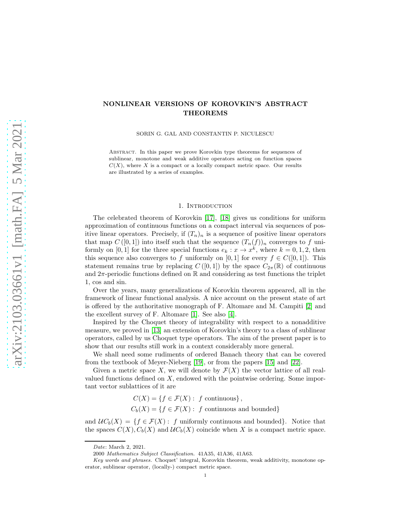# NONLINEAR VERSIONS OF KOROVKIN'S ABSTRACT THEOREMS

SORIN G. GAL AND CONSTANTIN P. NICULESCU

Abstract. In this paper we prove Korovkin type theorems for sequences of sublinear, monotone and weak additive operators acting on function spaces  $C(X)$ , where X is a compact or a locally compact metric space. Our results are illustrated by a series of examples.

#### 1. INTRODUCTION

The celebrated theorem of Korovkin [\[17\]](#page-16-0), [\[18\]](#page-16-1) gives us conditions for uniform approximation of continuous functions on a compact interval via sequences of positive linear operators. Precisely, if  $(T_n)_n$  is a sequence of positive linear operators that map  $C([0,1])$  into itself such that the sequence  $(T_n(f))_n$  converges to f uniformly on [0, 1] for the three special functions  $e_k : x \to x^k$ , where  $k = 0, 1, 2$ , then this sequence also converges to f uniformly on [0, 1] for every  $f \in C([0, 1])$ . This statement remains true by replacing  $C([0,1])$  by the space  $C_{2\pi}(\mathbb{R})$  of continuous and  $2\pi$ -periodic functions defined on  $\mathbb R$  and considering as test functions the triplet 1, cos and sin.

Over the years, many generalizations of Korovkin theorem appeared, all in the framework of linear functional analysis. A nice account on the present state of art is offered by the authoritative monograph of F. Altomare and M. Campiti [\[2\]](#page-15-0) and the excellent survey of F. Altomare [\[1\]](#page-15-1). See also [\[4\]](#page-16-2).

Inspired by the Choquet theory of integrability with respect to a nonadditive measure, we proved in [\[13\]](#page-16-3) an extension of Korovkin's theory to a class of sublinear operators, called by us Choquet type operators. The aim of the present paper is to show that our results still work in a context considerably more general.

We shall need some rudiments of ordered Banach theory that can be covered from the textbook of Meyer-Nieberg [\[19\]](#page-16-4), or from the papers [\[15\]](#page-16-5) and [\[22\]](#page-16-6).

Given a metric space X, we will denote by  $\mathcal{F}(X)$  the vector lattice of all realvalued functions defined on  $X$ , endowed with the pointwise ordering. Some important vector sublattices of it are

$$
C(X) = \{ f \in \mathcal{F}(X) : f \text{ continuous} \},
$$

 $C_b(X) = \{f \in \mathcal{F}(X) : f \text{ continuous and bounded}\}\$ 

and  $\mathcal{U}C_b(X) = \{f \in \mathcal{F}(X): f \text{ uniformly continuous and bounded}\}.$  Notice that the spaces  $C(X)$ ,  $C_b(X)$  and  $UC_b(X)$  coincide when X is a compact metric space.

Date: March 2, 2021.

<sup>2000</sup> Mathematics Subject Classification. 41A35, 41A36, 41A63.

Key words and phrases. Choquet' integral, Korovkin theorem, weak additivity, monotone operator, sublinear operator, (locally-) compact metric space.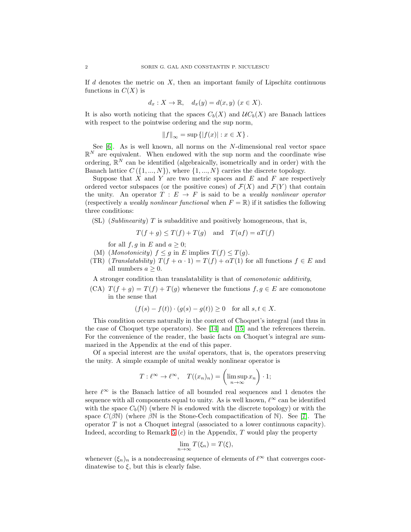If  $d$  denotes the metric on  $X$ , then an important family of Lipschitz continuous functions in  $C(X)$  is

$$
d_x: X \to \mathbb{R}, \quad d_x(y) = d(x, y) \ (x \in X).
$$

It is also worth noticing that the spaces  $C_b(X)$  and  $UC_b(X)$  are Banach lattices with respect to the pointwise ordering and the sup norm,

 $||f||_{\infty} = \sup \{|f(x)| : x \in X\}.$ 

See  $[6]$ . As is well known, all norms on the N-dimensional real vector space  $\mathbb{R}^N$  are equivalent. When endowed with the sup norm and the coordinate wise ordering,  $\mathbb{R}^N$  can be identified (algebraically, isometrically and in order) with the Banach lattice  $C({1,..., N})$ , where  ${1,..., N}$  carries the discrete topology.

Suppose that X and Y are two metric spaces and  $E$  and  $F$  are respectively ordered vector subspaces (or the positive cones) of  $\mathcal{F}(X)$  and  $\mathcal{F}(Y)$  that contain the unity. An operator  $T : E \to F$  is said to be a *weakly nonlinear operator* (respectively a *weakly nonlinear functional* when  $F = \mathbb{R}$ ) if it satisfies the following three conditions:

(SL) (Sublinearity)  $T$  is subadditive and positively homogeneous, that is,

$$
T(f+g) \le T(f) + T(g)
$$
 and  $T(af) = aT(f)$ 

for all  $f, g$  in E and  $a \geq 0$ ;

- (M) (Monotonicity)  $f \leq g$  in E implies  $T(f) \leq T(g)$ .
- (TR) (Translatability)  $T(f + \alpha \cdot 1) = T(f) + \alpha T(1)$  for all functions  $f \in E$  and all numbers  $a > 0$ .

A stronger condition than translatability is that of comonotonic additivity,

(CA)  $T(f + g) = T(f) + T(g)$  whenever the functions  $f, g \in E$  are comonotone in the sense that

$$
(f(s) - f(t)) \cdot (g(s) - g(t)) \ge 0
$$
 for all  $s, t \in X$ .

This condition occurs naturally in the context of Choquet's integral (and thus in the case of Choquet type operators). See [\[14\]](#page-16-8) and [\[15\]](#page-16-5) and the references therein. For the convenience of the reader, the basic facts on Choquet's integral are summarized in the Appendix at the end of this paper.

Of a special interest are the unital operators, that is, the operators preserving the unity. A simple example of unital weakly nonlinear operator is

$$
T: \ell^{\infty} \to \ell^{\infty}, \quad T((x_n)_n) = \left(\limsup_{n \to \infty} x_n\right) \cdot 1;
$$

here  $\ell^{\infty}$  is the Banach lattice of all bounded real sequences and 1 denotes the sequence with all components equal to unity. As is well known,  $\ell^{\infty}$  can be identified with the space  $C_b(N)$  (where N is endowed with the discrete topology) or with the space  $C(\beta N)$  (where  $\beta N$  is the Stone-Cech compactification of N). See [\[7\]](#page-16-9). The operator  $T$  is not a Choquet integral (associated to a lower continuous capacity). Indeed, according to Remark [5](#page-15-2)  $(c)$  in the Appendix, T would play the property

$$
\lim_{n \to \infty} T(\xi_n) = T(\xi),
$$

whenever  $(\xi_n)_n$  is a nondecreasing sequence of elements of  $\ell^{\infty}$  that converges coordinatewise to  $\xi$ , but this is clearly false.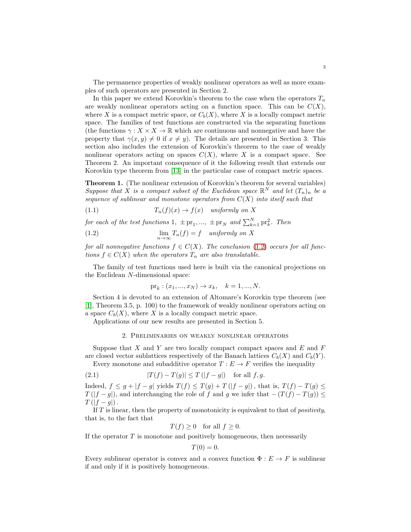The permanence properties of weakly nonlinear operators as well as more examples of such operators are presented in Section 2.

In this paper we extend Korovkin's theorem to the case when the operators  $T_n$ are weakly nonlinear operators acting on a function space. This can be  $C(X)$ , where X is a compact metric space, or  $C_b(X)$ , where X is a locally compact metric space. The families of test functions are constructed via the separating functions (the functions  $\gamma: X \times X \to \mathbb{R}$  which are continuous and nonnegative and have the property that  $\gamma(x, y) \neq 0$  if  $x \neq y$ ). The details are presented in Section 3. This section also includes the extension of Korovkin's theorem to the case of weakly nonlinear operators acting on spaces  $C(X)$ , where X is a compact space. See Theorem 2. An important consequence of it the following result that extends our Korovkin type theorem from [\[13\]](#page-16-3) in the particular case of compact metric spaces.

<span id="page-2-2"></span>Theorem 1. (The nonlinear extension of Korovkin's theorem for several variables) Suppose that X is a compact subset of the Euclidean space  $\mathbb{R}^N$  and let  $(T_n)_n$  be a sequence of sublinear and monotone operators from  $C(X)$  into itself such that

(1.1) 
$$
T_n(f)(x) \to f(x) \quad uniformly \; on \; X
$$

for each of the test functions 1,  $\pm$  pr<sub>1</sub>, ...,  $\pm$  pr<sub>N</sub> and  $\sum_{k=1}^{N}$  pr<sub>k</sub><sup>2</sup>. Then

(1.2) 
$$
\lim_{n \to \infty} T_n(f) = f \quad uniformly \; on \; X
$$

for all nonnegative functions  $f \in C(X)$ . The conclusion [\(1.2\)](#page-2-0) occurs for all functions  $f \in C(X)$  when the operators  $T_n$  are also translatable.

The family of test functions used here is built via the canonical projections on the Euclidean N-dimensional space:

<span id="page-2-0"></span>
$$
pr_k
$$
:  $(x_1, ..., x_N) \to x_k$ ,  $k = 1, ..., N$ .

Section 4 is devoted to an extension of Altomare's Korovkin type theorem (see [\[1\]](#page-15-1), Theorem 3.5, p. 100) to the framework of weakly nonlinear operators acting on a space  $C_b(X)$ , where X is a locally compact metric space.

Applications of our new results are presented in Section 5.

## <span id="page-2-1"></span>2. Preliminaries on weakly nonlinear operators

Suppose that  $X$  and  $Y$  are two locally compact compact spaces and  $E$  and  $F$ are closed vector sublattices respectively of the Banach lattices  $C_b(X)$  and  $C_b(Y)$ .

Every monotone and subadditive operator  $T : E \to F$  verifies the inequality  $|\mathcal{F}(f) - \mathcal{F}(f)| \geq \mathcal{F}(|f| - |f|)^{c}$ 

(2.1) 
$$
|T(f) - T(g)| \le T(|f - g|) \text{ for all } f, g.
$$

Indeed,  $f \leq g + |f - g|$  yields  $T(f) \leq T(g) + T(|f - g|)$ , that is,  $T(f) - T(g) \leq$  $T(|f-g|)$ , and interchanging the role of f and g we infer that  $-(T(f) - T(g)) \le$  $T(|f-g|)$ .

If  $T$  is linear, then the property of monotonicity is equivalent to that of *positivity*, that is, to the fact that

 $T(f) \geq 0$  for all  $f \geq 0$ .

If the operator  $T$  is monotone and positively homogeneous, then necessarily

$$
T(0) = 0.
$$

Every sublinear operator is convex and a convex function  $\Phi : E \to F$  is sublinear if and only if it is positively homogeneous.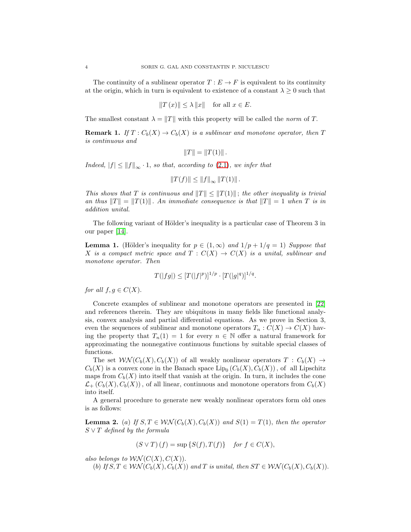The continuity of a sublinear operator  $T : E \to F$  is equivalent to its continuity at the origin, which in turn is equivalent to existence of a constant  $\lambda \geq 0$  such that

$$
||T(x)|| \le \lambda ||x|| \quad \text{for all } x \in E.
$$

The smallest constant  $\lambda = ||T||$  with this property will be called the norm of T.

**Remark 1.** If  $T: C_b(X) \to C_b(X)$  is a sublinear and monotone operator, then T is continuous and

$$
||T|| = ||T(1)||.
$$

Indeed,  $|f| \le ||f||_{\infty} \cdot 1$ , so that, according to [\(2.1\)](#page-2-1), we infer that

$$
||T(f)|| \leq ||f||_{\infty} ||T(1)||.
$$

This shows that T is continuous and  $||T|| \le ||T(1)||$ ; the other inequality is trivial an thus  $||T|| = ||T(1)||$ . An immediate consequence is that  $||T|| = 1$  when T is in addition unital.

The following variant of Hölder's inequality is a particular case of Theorem 3 in our paper [\[14\]](#page-16-8).

<span id="page-3-1"></span>**Lemma 1.** (Hölder's inequality for  $p \in (1,\infty)$  and  $1/p + 1/q = 1$ ) Suppose that X is a compact metric space and  $T : C(X) \to C(X)$  is a unital, sublinear and monotone operator. Then

$$
T(|fg|) \le [T(|f|^p)]^{1/p} \cdot [T(|g|^q)]^{1/q}.
$$

for all  $f, g \in C(X)$ .

Concrete examples of sublinear and monotone operators are presented in [\[22\]](#page-16-6) and references therein. They are ubiquitous in many fields like functional analysis, convex analysis and partial differential equations. As we prove in Section 3, even the sequences of sublinear and monotone operators  $T_n : C(X) \to C(X)$  having the property that  $T_n(1) = 1$  for every  $n \in \mathbb{N}$  offer a natural framework for approximating the nonnegative continuous functions by suitable special classes of functions.

The set  $\mathcal{W}(\mathcal{C}_b(X), \mathcal{C}_b(X))$  of all weakly nonlinear operators  $T : \mathcal{C}_b(X) \to$  $C_b(X)$  is a convex cone in the Banach space  $\text{Lip}_0(C_b(X), C_b(X))$ , of all Lipschitz maps from  $C_b(X)$  into itself that vanish at the origin. In turn, it includes the cone  $\mathcal{L}_+(C_b(X), C_b(X))$ , of all linear, continuous and monotone operators from  $C_b(X)$ into itself.

A general procedure to generate new weakly nonlinear operators form old ones is as follows:

<span id="page-3-0"></span>**Lemma 2.** (a) If  $S, T \in \mathcal{WN}(C_b(X), C_b(X))$  and  $S(1) = T(1)$ , then the operator  $S \vee T$  defined by the formula

$$
(S \vee T) (f) = \sup \{ S(f), T(f) \} \quad \text{for } f \in C(X),
$$

also belongs to  $\mathcal{WN}(C(X), C(X))$ .

(b) If  $S, T \in \mathcal{WN}(C_b(X), C_b(X))$  and T is unital, then  $ST \in \mathcal{WN}(C_b(X), C_b(X))$ .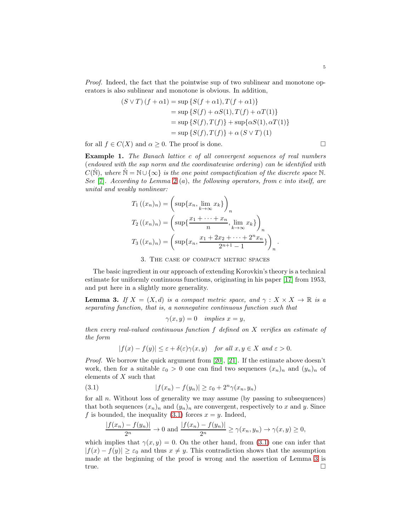Proof. Indeed, the fact that the pointwise sup of two sublinear and monotone operators is also sublinear and monotone is obvious. In addition,

$$
(S \lor T) (f + \alpha 1) = \sup \{ S(f + \alpha 1), T(f + \alpha 1) \}
$$
  
=  $\sup \{ S(f) + \alpha S(1), T(f) + \alpha T(1) \}$   
=  $\sup \{ S(f), T(f) \} + \sup \{ \alpha S(1), \alpha T(1) \}$   
=  $\sup \{ S(f), T(f) \} + \alpha (S \lor T) (1)$ 

for all  $f \in C(X)$  and  $\alpha \geq 0$ . The proof is done.

Example 1. The Banach lattice c of all convergent sequences of real numbers (endowed with the sup norm and the coordinatewise ordering) can be identified with  $C(\hat{N})$ , where  $\hat{N} = N \cup \{\infty\}$  is the one point compactification of the discrete space N. See [\[7\]](#page-16-9). According to Lemma [2](#page-3-0) (a), the following operators, from c into itself, are unital and weakly nonlinear:

$$
T_1 ((x_n)_n) = \left( \sup \{ x_n, \lim_{k \to \infty} x_k \} \right)_n
$$
  
\n
$$
T_2 ((x_n)_n) = \left( \sup \{ \frac{x_1 + \dots + x_n}{n}, \lim_{k \to \infty} x_k \} \right)_n
$$
  
\n
$$
T_3 ((x_n)_n) = \left( \sup \{ x_n, \frac{x_1 + 2x_2 + \dots + 2^n x_n}{2^{n+1} - 1} \} \right)_n.
$$

## 3. The case of compact metric spaces

The basic ingredient in our approach of extending Korovkin's theory is a technical estimate for uniformly continuous functions, originating in his paper [\[17\]](#page-16-0) from 1953, and put here in a slightly more generality.

<span id="page-4-1"></span>**Lemma 3.** If  $X = (X, d)$  is a compact metric space, and  $\gamma : X \times X \to \mathbb{R}$  is a separating function, that is, a nonnegative continuous function such that

$$
\gamma(x, y) = 0 \quad implies \ x = y,
$$

then every real-valued continuous function f defined on X verifies an estimate of the form

<span id="page-4-0"></span>
$$
|f(x) - f(y)| \le \varepsilon + \delta(\varepsilon)\gamma(x, y) \quad \text{for all } x, y \in X \text{ and } \varepsilon > 0.
$$

*Proof.* We borrow the quick argument from [\[20\]](#page-16-10), [\[21\]](#page-16-11). If the estimate above doesn't work, then for a suitable  $\varepsilon_0 > 0$  one can find two sequences  $(x_n)_n$  and  $(y_n)_n$  of elements of X such that

(3.1) 
$$
|f(x_n) - f(y_n)| \ge \varepsilon_0 + 2^n \gamma(x_n, y_n)
$$

for all  $n$ . Without loss of generality we may assume (by passing to subsequences) that both sequences  $(x_n)_n$  and  $(y_n)_n$  are convergent, respectively to x and y. Since f is bounded, the inequality  $(3.1)$  forces  $x = y$ . Indeed,

$$
\frac{|f(x_n)-f(y_n)|}{2^n} \to 0 \text{ and } \frac{|f(x_n)-f(y_n)|}{2^n} \ge \gamma(x_n,y_n) \to \gamma(x,y) \ge 0,
$$

which implies that  $\gamma(x, y) = 0$ . On the other hand, from [\(3.1\)](#page-4-0) one can infer that  $|f(x) - f(y)| \geq \varepsilon_0$  and thus  $x \neq y$ . This contradiction shows that the assumption made at the beginning of the proof is wrong and the assertion of Lemma [3](#page-4-1) is true.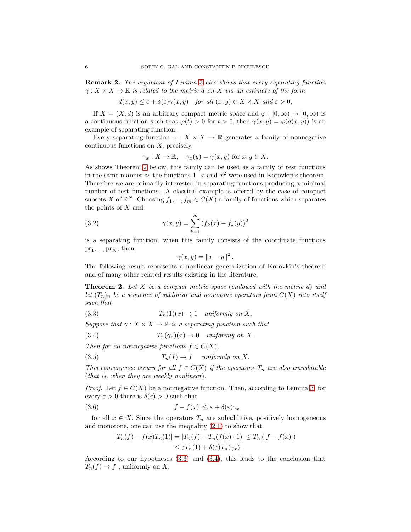<span id="page-5-3"></span>Remark 2. The argument of Lemma [3](#page-4-1) also shows that every separating function  $\gamma: X \times X \to \mathbb{R}$  is related to the metric d on X via an estimate of the form

$$
d(x, y) \le \varepsilon + \delta(\varepsilon)\gamma(x, y) \quad \text{for all } (x, y) \in X \times X \text{ and } \varepsilon > 0.
$$

If  $X = (X, d)$  is an arbitrary compact metric space and  $\varphi : [0, \infty) \to [0, \infty)$  is a continuous function such that  $\varphi(t) > 0$  for  $t > 0$ , then  $\gamma(x, y) = \varphi(d(x, y))$  is an example of separating function.

Every separating function  $\gamma: X \times X \to \mathbb{R}$  generates a family of nonnegative  $continuous$  functions on  $X$ , precisely,

$$
\gamma_x : X \to \mathbb{R}, \quad \gamma_x(y) = \gamma(x, y)
$$
 for  $x, y \in X$ .

As shows Theorem [2](#page-5-0) below, this family can be used as a family of test functions in the same manner as the functions 1,  $x$  and  $x^2$  were used in Korovkin's theorem. Therefore we are primarily interested in separating functions producing a minimal number of test functions. A classical example is offered by the case of compact subsets X of  $\mathbb{R}^N$ . Choosing  $f_1, ..., f_m \in C(X)$  a family of functions which separates the points of  $X$  and

(3.2) 
$$
\gamma(x, y) = \sum_{k=1}^{m} (f_k(x) - f_k(y))^2
$$

is a separating function; when this family consists of the coordinate functions  $pr_1, ..., pr_N$ , then

<span id="page-5-1"></span>
$$
\gamma(x,y) = ||x - y||^2.
$$

The following result represents a nonlinear generalization of Korovkin's theorem and of many other related results existing in the literature.

<span id="page-5-0"></span>**Theorem 2.** Let X be a compact metric space (endowed with the metric d) and let  $(T_n)_n$  be a sequence of sublinear and monotone operators from  $C(X)$  into itself such that

(3.3) 
$$
T_n(1)(x) \to 1 \quad uniformly \; on \; X.
$$

Suppose that  $\gamma: X \times X \to \mathbb{R}$  is a separating function such that

<span id="page-5-2"></span>(3.4) 
$$
T_n(\gamma_x)(x) \to 0 \quad uniformly \; on \; X.
$$

Then for all nonnegative functions  $f \in C(X)$ ,

<span id="page-5-5"></span>(3.5) 
$$
T_n(f) \to f \quad \text{ uniformly on } X.
$$

This convergence occurs for all  $f \in C(X)$  if the operators  $T_n$  are also translatable (that is, when they are weakly nonlinear).

*Proof.* Let  $f \in C(X)$  be a nonnegative function. Then, according to Lemma [3,](#page-4-1) for every  $\varepsilon > 0$  there is  $\delta(\varepsilon) > 0$  such that

(3.6) 
$$
|f - f(x)| \le \varepsilon + \delta(\varepsilon)\gamma_x
$$

for all  $x \in X$ . Since the operators  $T_n$  are subadditive, positively homogeneous and monotone, one can use the inequality [\(2.1\)](#page-2-1) to show that

<span id="page-5-4"></span>
$$
|T_n(f) - f(x)T_n(1)| = |T_n(f) - T_n(f(x) \cdot 1)| \le T_n (|f - f(x)|)
$$
  

$$
\le \varepsilon T_n(1) + \delta(\varepsilon)T_n(\gamma_x).
$$

According to our hypotheses [\(3.3\)](#page-5-1) and [\(3.4\)](#page-5-2), this leads to the conclusion that  $T_n(f) \to f$ , uniformly on X.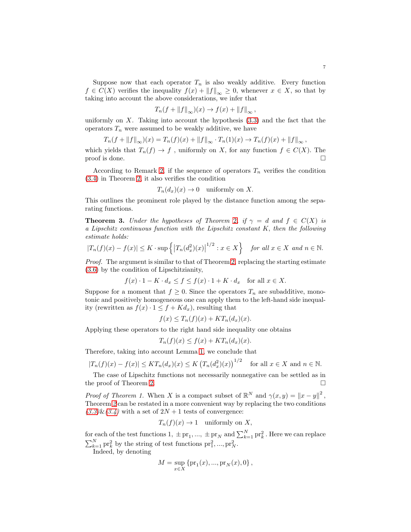Suppose now that each operator  $T_n$  is also weakly additive. Every function  $f \in C(X)$  verifies the inequality  $f(x) + ||f||_{\infty} \geq 0$ , whenever  $x \in X$ , so that by taking into account the above considerations, we infer that

$$
T_n(f + \|f\|_{\infty})(x) \to f(x) + \|f\|_{\infty},
$$

uniformly on  $X$ . Taking into account the hypothesis  $(3.3)$  and the fact that the operators  $T_n$  were assumed to be weakly additive, we have

$$
T_n(f + ||f||_{\infty})(x) = T_n(f)(x) + ||f||_{\infty} \cdot T_n(1)(x) \to T_n(f)(x) + ||f||_{\infty},
$$

which yields that  $T_n(f) \to f$ , uniformly on X, for any function  $f \in C(X)$ . The proof is done. proof is done.

According to Remark [2,](#page-5-3) if the sequence of operators  $T_n$  verifies the condition [\(3.4\)](#page-5-2) in Theorem [2,](#page-5-0) it also verifies the condition

$$
T_n(d_x)(x) \to 0
$$
 uniformly on X.

This outlines the prominent role played by the distance function among the separating functions.

**Theorem 3.** Under the hypotheses of Theorem [2](#page-5-0), if  $\gamma = d$  and  $f \in C(X)$  is a Lipschitz continuous function with the Lipschitz constant K, then the following estimate holds:  $\overline{1}$ 

$$
|T_n(f)(x) - f(x)| \le K \cdot \sup\left\{ |T_n(d_x^2)(x)|^{1/2} : x \in X \right\} \quad \text{for all } x \in X \text{ and } n \in \mathbb{N}.
$$

Proof. The argument is similar to that of Theorem [2,](#page-5-0) replacing the starting estimate [\(3.6\)](#page-5-4) by the condition of Lipschitzianity,

$$
f(x) \cdot 1 - K \cdot d_x \le f \le f(x) \cdot 1 + K \cdot d_x \quad \text{for all } x \in X.
$$

Suppose for a moment that  $f \geq 0$ . Since the operators  $T_n$  are subadditive, monotonic and positively homogeneous one can apply them to the left-hand side inequality (rewritten as  $f(x) \cdot 1 \leq f + K d_x$ ), resulting that

$$
f(x) \leq T_n(f)(x) + KT_n(d_x)(x).
$$

Applying these operators to the right hand side inequality one obtains

$$
T_n(f)(x) \le f(x) + KT_n(d_x)(x).
$$

Therefore, taking into account Lemma [1,](#page-3-1) we conclude that

$$
|T_n(f)(x) - f(x)| \leq KT_n(d_x)(x) \leq K \left(T_n(d_x^2)(x)\right)^{1/2} \quad \text{for all } x \in X \text{ and } n \in \mathbb{N}.
$$

The case of Lipschitz functions not necessarily nonnegative can be settled as in the proof of Theorem [2.](#page-5-0)

Proof of Theorem 1. When X is a compact subset of  $\mathbb{R}^N$  and  $\gamma(x, y) = ||x - y||^2$ , Theorem [2](#page-5-0) can be restated in a more convenient way by replacing the two conditions  $(3.3)$ & $(3.4)$  with a set of  $2N + 1$  tests of convergence:

$$
T_n(f)(x) \to 1
$$
 uniformly on X,

for each of the test functions 1,  $\pm$  pr<sub>1</sub>, ...,  $\pm$  pr<sub>N</sub> and  $\sum_{k=1}^{N}$  pr<sub>k</sub><sup>2</sup>. Here we can replace  $\sum_{k=1}^{N}$  pr<sub>k</sub><sup>2</sup> by the string of test functions pr<sub>1</sub><sup>2</sup>, ..., pr<sub>N</sub><sup>2</sup>.

Indeed, by denoting

$$
M = \sup_{x \in X} \{ \text{pr}_1(x), \dots, \text{pr}_N(x), 0 \},
$$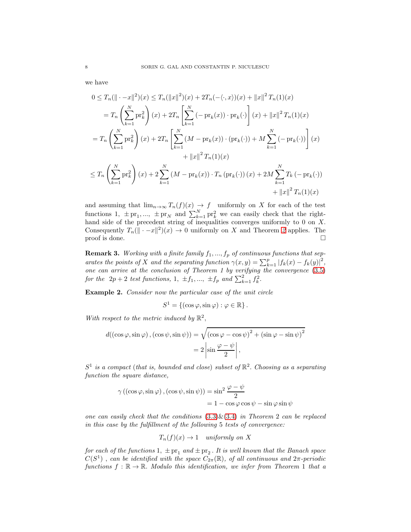we have

$$
0 \leq T_n(\|\cdot - x\|^2)(x) \leq T_n(\|x\|^2)(x) + 2T_n(-\langle \cdot, x \rangle)(x) + \|x\|^2 T_n(1)(x)
$$
  
\n
$$
= T_n \left( \sum_{k=1}^N \text{pr}_k^2 \right)(x) + 2T_n \left[ \sum_{k=1}^N \left( -\text{pr}_k(x) \right) \cdot \text{pr}_k(\cdot) \right](x) + \|x\|^2 T_n(1)(x)
$$
  
\n
$$
= T_n \left( \sum_{k=1}^N \text{pr}_k^2 \right)(x) + 2T_n \left[ \sum_{k=1}^N \left( M - \text{pr}_k(x) \right) \cdot \left( \text{pr}_k(\cdot) \right) + M \sum_{k=1}^N \left( -\text{pr}_k(\cdot) \right) \right](x)
$$
  
\n
$$
+ \|x\|^2 T_n(1)(x)
$$
  
\n
$$
\leq T_n \left( \sum_{k=1}^N \text{pr}_k^2 \right)(x) + 2 \sum_{k=1}^N \left( M - \text{pr}_k(x) \right) \cdot T_n \left( \text{pr}_k(\cdot) \right)(x) + 2M \sum_{k=1}^N T_k \left( -\text{pr}_k(\cdot) \right)
$$
  
\n
$$
+ \|x\|^2 T_n(1)(x)
$$

and assuming that  $\lim_{n\to\infty} T_n(f)(x) \to f$  uniformly on X for each of the test functions 1,  $\pm$  pr<sub>1</sub>, ...,  $\pm$  pr<sub>N</sub> and  $\sum_{k=1}^{N}$  pr<sub>k</sub><sup>2</sup> we can easily check that the righthand side of the precedent string of inequalities converges uniformly to 0 on X. Consequently  $T_n(\|\cdot-x\|^2)(x) \to 0$  $T_n(\|\cdot-x\|^2)(x) \to 0$  $T_n(\|\cdot-x\|^2)(x) \to 0$  uniformly on X and Theorem 2 applies. The proof is done.  $\Box$ 

**Remark 3.** Working with a finite family  $f_1, ..., f_p$  of continuous functions that separates the points of X and the separating function  $\gamma(x, y) = \sum_{k=1}^{p} |f_k(x) - f_k(y)|^2$ , one can arrive at the conclusion of Theorem 1 by verifying the convergence  $(3.5)$ for the  $2p+2$  test functions, 1,  $\pm f_1, ..., \pm f_p$  and  $\sum_{k=1}^2 f_k^2$ .

Example 2. Consider now the particular case of the unit circle

$$
S^1 = \{ (\cos \varphi, \sin \varphi) : \varphi \in \mathbb{R} \}.
$$

With respect to the metric induced by  $\mathbb{R}^2$ ,

$$
d((\cos \varphi, \sin \varphi), (\cos \psi, \sin \psi)) = \sqrt{(\cos \varphi - \cos \psi)^2 + (\sin \varphi - \sin \psi)^2}
$$
  
= 
$$
2 \left| \sin \frac{\varphi - \psi}{2} \right|,
$$

 $S^1$  is a compact (that is, bounded and close) subset of  $\mathbb{R}^2$ . Choosing as a separating function the square distance,

$$
\gamma ((\cos \varphi, \sin \varphi), (\cos \psi, \sin \psi)) = \sin^2 \frac{\varphi - \psi}{2}
$$
  
= 1 - \cos \varphi \cos \psi - \sin \varphi \sin \psi

one can easily check that the conditions  $(3.3)\&(3.4)$  $(3.3)\&(3.4)$  $(3.3)\&(3.4)$  in Theorem 2 can be replaced in this case by the fulfillment of the following 5 tests of convergence:

$$
T_n(f)(x) \to 1 \quad uniformly \; on \; X
$$

for each of the functions  $1, \pm \text{pr}_1$  and  $\pm \text{pr}_2$ . It is well known that the Banach space  $C(S^1)$ , can be identified with the space  $C_{2\pi}(\mathbb{R})$ , of all continuous and  $2\pi$ -periodic functions  $f : \mathbb{R} \to \mathbb{R}$ . Modulo this identification, we infer from Theorem 1 that a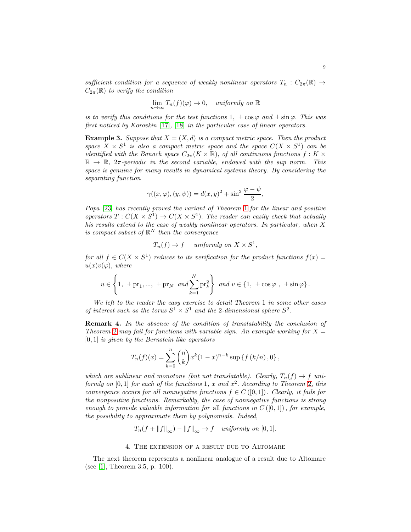sufficient condition for a sequence of weakly nonlinear operators  $T_n : C_{2\pi}(\mathbb{R}) \to$  $C_{2\pi}(\mathbb{R})$  to verify the condition

$$
\lim_{n \to \infty} T_n(f)(\varphi) \to 0, \quad \text{uniformly on } \mathbb{R}
$$

is to verify this conditions for the test functions 1,  $\pm \cos \varphi$  and  $\pm \sin \varphi$ . This was first noticed by Korovkin [\[17\]](#page-16-0), [\[18\]](#page-16-1) in the particular case of linear operators.

**Example 3.** Suppose that  $X = (X, d)$  is a compact metric space. Then the product space  $X \times S^1$  is also a compact metric space and the space  $C(X \times S^1)$  can be identified with the Banach space  $C_{2\pi}(K \times \mathbb{R})$ , of all continuous functions  $f: K \times$  $\mathbb{R} \to \mathbb{R}$ ,  $2\pi$ -periodic in the second variable, endowed with the sup norm. This space is genuine for many results in dynamical systems theory. By considering the separating function

$$
\gamma((x,\varphi),(y,\psi)) = d(x,y)^2 + \sin^2\frac{\varphi - \psi}{2},
$$

Popa [\[23\]](#page-16-12) has recently proved the variant of Theorem [1](#page-2-2) for the linear and positive operators  $T: C(X \times S^1) \to C(X \times S^1)$ . The reader can easily check that actually his results extend to the case of weakly nonlinear operators. In particular, when X is compact subset of  $\mathbb{R}^N$  then the convergence

$$
T_n(f) \to f
$$
 uniformly on  $X \times S^1$ ,

for all  $f \in C(X \times S^1)$  reduces to its verification for the product functions  $f(x) =$  $u(x)v(\varphi)$ , where

$$
u \in \left\{1, \pm \mathrm{pr}_1, \ldots, \pm \mathrm{pr}_N \text{ and } \sum_{k=1}^N \mathrm{pr}_k^2 \right\} \text{ and } v \in \left\{1, \pm \cos \varphi, \pm \sin \varphi \right\}.
$$

We left to the reader the easy exercise to detail Theorem 1 in some other cases of interest such as the torus  $S^1 \times S^1$  and the 2-dimensional sphere  $S^2$ .

Remark 4. In the absence of the condition of translatability the conclusion of Theorem [2](#page-5-0) may fail for functions with variable sign. An example working for  $X =$  $[0, 1]$  is given by the Bernstein like operators

$$
T_n(f)(x) = \sum_{k=0}^n {n \choose k} x^k (1-x)^{n-k} \sup \{f(k/n), 0\},\,
$$

which are sublinear and monotone (but not translatable). Clearly,  $T_n(f) \to f$  uniformly on  $[0,1]$  for each of the functions 1, x and  $x^2$ . According to Theorem [2,](#page-5-0) this convergence occurs for all nonnegative functions  $f \in C([0,1])$ . Clearly, it fails for the nonpositive functions. Remarkably, the case of nonnegative functions is strong enough to provide valuable information for all functions in  $C([0,1])$ , for example, the possibility to approximate them by polynomials. Indeed,

$$
T_n(f + \|f\|_{\infty}) - \|f\|_{\infty} \to f \quad \text{uniformly on } [0, 1].
$$

### 4. The extension of a result due to Altomare

The next theorem represents a nonlinear analogue of a result due to Altomare (see [\[1\]](#page-15-1), Theorem 3.5, p. 100).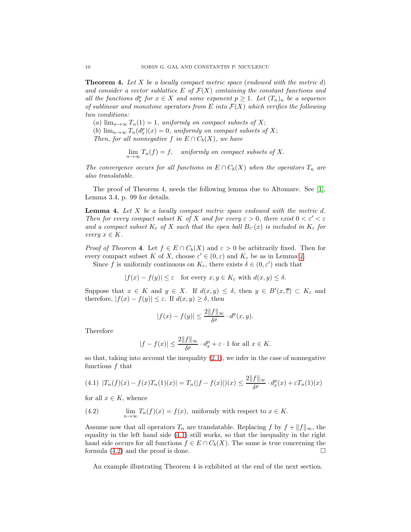<span id="page-9-3"></span>**Theorem 4.** Let X be a locally compact metric space (endowed with the metric d) and consider a vector sublattice E of  $\mathcal{F}(X)$  containing the constant functions and all the functions  $d_x^p$  for  $x \in X$  and some exponent  $p \geq 1$ . Let  $(T_n)_n$  be a sequence of sublinear and monotone operators from E into  $\mathcal{F}(X)$  which verifies the following two conditions:

(a)  $\lim_{n\to\infty}T_n(1)=1$ , uniformly on compact subsets of X;

(b)  $\lim_{n\to\infty} T_n(d_x^p)(x) = 0$ , uniformly on compact subsets of X;

Then, for all nonnegative f in  $E \cap C_b(X)$ , we have

$$
\lim_{n \to \infty} T_n(f) = f, \quad uniformly \text{ on compact subsets of } X.
$$

The convergence occurs for all functions in  $E \cap C_b(X)$  when the operators  $T_n$  are also translatable.

The proof of Theorem 4, needs the following lemma due to Altomare. See [\[1\]](#page-15-1), Lemma 3.4, p. 99 for details.

<span id="page-9-0"></span>**Lemma 4.** Let  $X$  be a locally compact metric space endowed with the metric  $d$ . Then for every compact subset K of X and for every  $\varepsilon > 0$ , there exist  $0 < \varepsilon' < \varepsilon$ and a compact subset  $K_{\varepsilon}$  of X such that the open ball  $B_{\varepsilon'}(x)$  is included in  $K_{\varepsilon}$  for every  $x \in K$ .

*Proof of Theorem 4.* Let  $f \in E \cap C_b(X)$  and  $\varepsilon > 0$  be arbitrarily fixed. Then for every compact subset K of X, choose  $\varepsilon' \in (0, \varepsilon)$  and  $K_{\varepsilon}$  be as in Lemma [4](#page-9-0).

Since f is uniformly continuous on  $K_{\varepsilon}$ , there exists  $\delta \in (0, \varepsilon')$  such that

$$
|f(x) - f(y)| \le \varepsilon \quad \text{for every } x, y \in K_{\varepsilon} \text{ with } d(x, y) \le \delta.
$$

Suppose that  $x \in K$  and  $y \in X$ . If  $d(x, y) \leq \delta$ , then  $y \in B'(x, \overline{\varepsilon}) \subset K_{\varepsilon}$  and therefore,  $|f(x) - f(y)| \leq \varepsilon$ . If  $d(x, y) \geq \delta$ , then

$$
|f(x) - f(y)| \le \frac{2||f||_{\infty}}{\delta^p} \cdot d^p(x, y).
$$

Therefore

$$
|f - f(x)| \le \frac{2||f||_{\infty}}{\delta^p} \cdot d_x^p + \varepsilon \cdot 1 \text{ for all } x \in K.
$$

so that, taking into account the inequality [\(2.1\)](#page-2-1), we infer in the case of nonnegative functions  $f$  that

<span id="page-9-1"></span>
$$
(4.1) \ |T_n(f)(x) - f(x)T_n(1)(x)| = T_n(|f - f(x)|)(x) \le \frac{2||f||_{\infty}}{\delta^p} \cdot d_x^p(x) + \varepsilon T_n(1)(x)
$$

for all  $x \in K$ , whence

<span id="page-9-2"></span>(4.2) 
$$
\lim_{n \to \infty} T_n(f)(x) = f(x), \text{ uniformly with respect to } x \in K.
$$

Assume now that all operators  $T_n$  are translatable. Replacing f by  $f + ||f||_{\infty}$ , the equality in the left hand side [\(4.1\)](#page-9-1) still works, so that the inequality in the right hand side occurs for all functions  $f \in E \cap C_b(X)$ . The same is true concerning the formula (4.2) and the proof is done. formula [\(4.2\)](#page-9-2) and the proof is done.

An example illustrating Theorem 4 is exhibited at the end of the next section.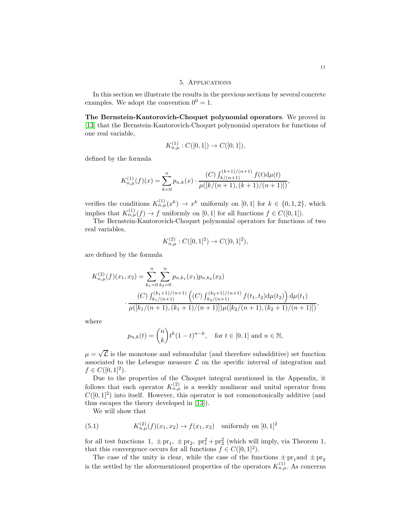### 5. Applications

In this section we illustrate the results in the previous sections by several concrete examples. We adopt the convention  $0^0 = 1$ .

The Bernstein-Kantorovich-Choquet polynomial operators. We proved in [\[13\]](#page-16-3) that the Bernstein-Kantorovich-Choquet polynomial operators for functions of one real variable,

$$
K_{n,\mu}^{(1)} : C([0,1]) \to C([0,1]),
$$

defined by the formula

$$
K_{n,\mu}^{(1)}(f)(x) = \sum_{k=0}^{n} p_{n,k}(x) \cdot \frac{(C) \int_{k/(n+1)}^{(k+1)/(n+1)} f(t) d\mu(t)}{\mu([k/(n+1), (k+1)/(n+1)])},
$$

verifies the conditions  $K_{n,\mu}^{(1)}(x^k) \to x^k$  uniformly on [0, 1] for  $k \in \{0,1,2\}$ , which implies that  $K_{n,\mu}^{(1)}(f) \to f$  uniformly on [0, 1] for all functions  $f \in C([0,1])$ .

The Bernstein-Kantorovich-Choquet polynomial operators for functions of two real variables,

$$
K_{n,\mu}^{(2)} : C([0,1]^2) \to C([0,1]^2),
$$

are defined by the formula

$$
K_{n,\mu}^{(2)}(f)(x_1, x_2) = \sum_{k_1=0}^n \sum_{k_2=0}^n p_{n,k_1}(x_1) p_{n,k_2}(x_2)
$$
  

$$
\cdot \frac{(C) \int_{k_1/(n+1)}^{(k_1+1)/(n+1)} ((C) \int_{k_2/(n+1)}^{(k_2+1)/(n+1)} f(t_1, t_2) d\mu(t_2)) d\mu(t_1)}{\mu([k_1/(n+1), (k_1+1)/(n+1)]) \mu([k_2/(n+1), (k_2+1)/(n+1)])},
$$

where

$$
p_{n,k}(t) = {n \choose k} t^k (1-t)^{n-k}
$$
, for  $t \in [0,1]$  and  $n \in \mathbb{N}$ ,

 $\mu = \sqrt{\mathcal{L}}$  is the monotone and submodular (and therefore subadditive) set function associated to the Lebesgue measure  $\mathcal L$  on the specific interval of integration and  $f \in C([0,1]^2)$ .

Due to the properties of the Choquet integral mentioned in the Appendix, it follows that each operator  $K_{n,\mu}^{(2)}$  is a weekly nonlinear and unital operator from  $C([0,1]^2)$  into itself. However, this operator is not comonotonically additive (and thus escapes the theory developed in [\[13\]](#page-16-3)).

<span id="page-10-0"></span>We will show that

(5.1) 
$$
K_{n,\mu}^{(2)}(f)(x_1,x_2) \to f(x_1,x_2) \text{ uniformly on } [0,1]^2
$$

for all test functions  $1, \pm \text{pr}_1, \pm \text{pr}_2, \text{pr}_1^2 + \text{pr}_2^2$  (which will imply, via Theorem 1, that this convergence occurs for all functions  $f \in C([0, 1]^2)$ .

The case of the unity is clear, while the case of the functions  $\pm$  pr<sub>1</sub> and  $\pm$  pr<sub>2</sub> is the settled by the aforementioned properties of the operators  $K_{n,\mu}^{(1)}$ . As concerns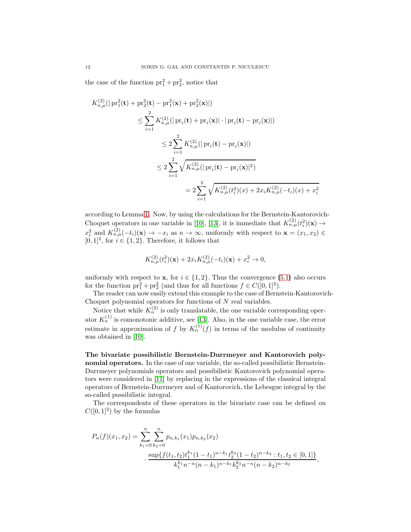the case of the function  $pr_1^2 + pr_2^2$ , notice that

$$
K_{n,\mu}^{(2)}(|{\rm pr}_{1}^{2}(\mathbf{t})+{\rm pr}_{2}^{2}(\mathbf{t})-{\rm pr}_{1}^{2}(\mathbf{x})+{\rm pr}_{2}^{2}(\mathbf{x})|)
$$
  
\n
$$
\leq \sum_{i=1}^{2} K_{n,\mu}^{(2)}(|{\rm pr}_{i}(\mathbf{t})+{\rm pr}_{i}(\mathbf{x})|\cdot|{\rm pr}_{i}(\mathbf{t})-{\rm pr}_{i}(\mathbf{x})|)
$$
  
\n
$$
\leq 2\sum_{i=1}^{2} K_{n,\mu}^{(2)}(|{\rm pr}_{i}(\mathbf{t})-{\rm pr}_{i}(\mathbf{x})|)
$$
  
\n
$$
\leq 2\sum_{i=1}^{2} \sqrt{K_{n,\mu}^{(2)}(|{\rm pr}_{i}(\mathbf{t})-{\rm pr}_{i}(\mathbf{x})|^{2})}
$$
  
\n
$$
= 2\sum_{i=1}^{2} \sqrt{K_{n,\mu}^{(2)}(t_{i}^{2})(x)+2x_{i}K_{n,\mu}^{(2)}(-t_{i})(x)+x_{i}^{2}}
$$

according to Lemma [1.](#page-3-1) Now, by using the calculations for the Bernstein-Kantorovich-Choquet operators in one variable in [\[10\]](#page-16-13), [\[13\]](#page-16-3), it is immediate that  $K_{n,\mu}^{(2)}(t_i^2)(\mathbf{x}) \to$  $x_i^2$  and  $K_{n,\mu}^{(2)}(-t_i)(\mathbf{x}) \to -x_i$  as  $n \to \infty$ , uniformly with respect to  $\mathbf{x} = (x_1, x_2) \in$  $[0,1]^2,$  for  $i\in\{1,2\}.$  Therefore, it follows that

$$
K_{n,\mu}^{(2)}(t_i^2)(\mathbf{x}) + 2x_i K_{n,\mu}^{(2)}(-t_i)(\mathbf{x}) + x_i^2 \to 0,
$$

uniformly with respect to **x**, for  $i \in \{1, 2\}$ . Thus the convergence [\(5.1\)](#page-10-0) also occurs for the function  $pr_1^2 + pr_2^2$  (and thus for all functions  $f \in C([0, 1]^2)$ .

The reader can now easily extend this example to the case of Bernstein-Kantorovich-Choquet polynomial operators for functions of  $N$  real variables.

Notice that while  $K_n^{(2)}$  is only translatable, the one variable corresponding operator  $K_n^{(1)}$  is comonotonic additive, see [\[13\]](#page-16-3). Also, in the one variable case, the error estimate in approximation of f by  $K_n^{(1)}(f)$  in terms of the modulus of continuity was obtained in [\[10\]](#page-16-13).

The bivariate possibilistic Bernstein-Durrmeyer and Kantorovich polynomial operators. In the case of one variable, the so-called possibilistic Bernstein-Durrmeyer polynomials operators and possibilistic Kantorovich polynomial operators were considered in [\[11\]](#page-16-14) by replacing in the expressions of the classical integral operators of Bernstein-Durrmeyer and of Kantorovich, the Lebesgue integral by the so-called possibilistic integral.

The correspondents of these operators in the bivariate case can be defined on  $C([0,1]^2)$  by the formulas

$$
P_n(f)(x_1, x_2) = \sum_{k_1=0}^n \sum_{k_2=0}^n p_{n,k_1}(x_1) p_{n,k_2}(x_2)
$$

$$
\cdot \frac{\sup\{f(t_1, t_2)t_1^{k_1}(1-t_1)^{n-k_1}t_2^{k_2}(1-t_2)^{n-k_2}: t_1, t_2 \in [0,1]\}}{k_1^{k_1}n^{-n}(n-k_1)^{n-k_1}k_2^{k_2}n^{-n}(n-k_2)^{n-k_2}},
$$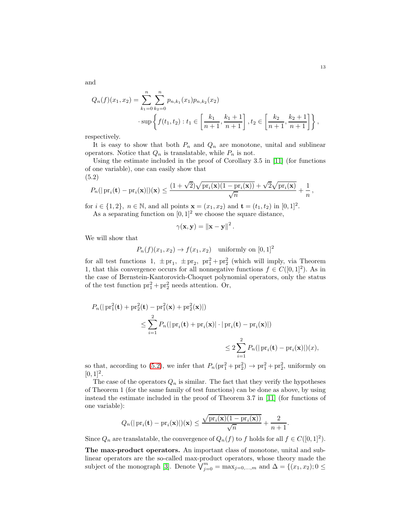$$
Q_n(f)(x_1, x_2) = \sum_{k_1=0}^n \sum_{k_2=0}^n p_{n,k_1}(x_1) p_{n,k_2}(x_2)
$$
  

$$
\cdot \sup \left\{ f(t_1, t_2) : t_1 \in \left[ \frac{k_1}{n+1}, \frac{k_1+1}{n+1} \right], t_2 \in \left[ \frac{k_2}{n+1}, \frac{k_2+1}{n+1} \right] \right\},\
$$

respectively.

It is easy to show that both  $P_n$  and  $Q_n$  are monotone, unital and sublinear operators. Notice that  $Q_n$  is translatable, while  $P_n$  is not.

Using the estimate included in the proof of Corollary 3.5 in [\[11\]](#page-16-14) (for functions of one variable), one can easily show that (5.2)

<span id="page-12-0"></span>
$$
P_n(|\mathrm{pr}_i(\mathbf{t}) - \mathrm{pr}_i(\mathbf{x})|)(\mathbf{x}) \leq \frac{(1+\sqrt{2})\sqrt{\mathrm{pr}_i(\mathbf{x})(1-\mathrm{pr}_i(\mathbf{x}))} + \sqrt{2}\sqrt{\mathrm{pr}_i(\mathbf{x})}}{\sqrt{n}} + \frac{1}{n},
$$

for  $i \in \{1, 2\}$ ,  $n \in \mathbb{N}$ , and all points  $\mathbf{x} = (x_1, x_2)$  and  $\mathbf{t} = (t_1, t_2)$  in  $[0, 1]^2$ .

As a separating function on  $[0, 1]^2$  we choose the square distance,

$$
\gamma(\mathbf{x}, \mathbf{y}) = \left\| \mathbf{x} - \mathbf{y} \right\|^2.
$$

We will show that

$$
P_n(f)(x_1, x_2) \to f(x_1, x_2)
$$
 uniformly on  $[0, 1]^2$ 

for all test functions 1,  $\pm$  pr<sub>1</sub>,  $\pm$  pr<sub>2</sub>, pr<sup>2</sup>+ pr<sup>2</sup><sub>2</sub> (which will imply, via Theorem 1, that this convergence occurs for all nonnegative functions  $f \in C([0, 1]^2)$ . As in the case of Bernstein-Kantorovich-Choquet polynomial operators, only the status of the test function  $pr_1^2 + pr_2^2$  needs attention. Or,

$$
P_n(|\operatorname{pr}_1^2(\mathbf{t}) + \operatorname{pr}_2^2(\mathbf{t}) - \operatorname{pr}_1^2(\mathbf{x}) + \operatorname{pr}_2^2(\mathbf{x})|)
$$
  

$$
\leq \sum_{i=1}^2 P_n(|\operatorname{pr}_i(\mathbf{t}) + \operatorname{pr}_i(\mathbf{x})| \cdot |\operatorname{pr}_i(\mathbf{t}) - \operatorname{pr}_i(\mathbf{x})|)
$$
  

$$
\leq 2 \sum_{i=1}^2 P_n(|\operatorname{pr}_i(\mathbf{t}) - \operatorname{pr}_i(\mathbf{x})|)(x),
$$

so that, according to [\(5.2\)](#page-12-0), we infer that  $P_n(\text{pr}_1^2 + \text{pr}_2^2) \rightarrow \text{pr}_1^2 + \text{pr}_2^2$ , uniformly on  $[0, 1]^2$ .

The case of the operators  $Q_n$  is similar. The fact that they verify the hypotheses of Theorem 1 (for the same family of test functions) can be done as above, by using instead the estimate included in the proof of Theorem 3.7 in [\[11\]](#page-16-14) (for functions of one variable):

$$
Q_n(|\mathrm{pr}_i(\mathbf{t}) - \mathrm{pr}_i(\mathbf{x})|)(\mathbf{x}) \le \frac{\sqrt{\mathrm{pr}_i(\mathbf{x})(1 - \mathrm{pr}_i(\mathbf{x}))}}{\sqrt{n}} + \frac{2}{n+1}.
$$

Since  $Q_n$  are translatable, the convergence of  $Q_n(f)$  to f holds for all  $f \in C([0, 1]^2)$ .

The max-product operators. An important class of monotone, unital and sublinear operators are the so-called max-product operators, whose theory made the subject of the monograph [\[3\]](#page-15-3). Denote  $\bigvee_{j=0}^{m} = \max_{j=0,\dots,m}$  and  $\Delta = \{(x_1, x_2); 0 \leq \Delta\}$ 

and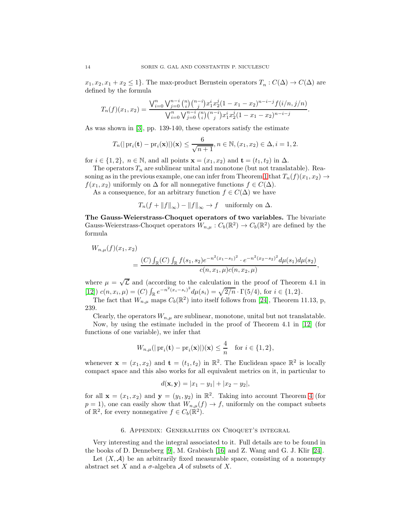$x_1, x_2, x_1 + x_2 \leq 1$ . The max-product Bernstein operators  $T_n : C(\Delta) \to C(\Delta)$  are defined by the formula

$$
T_n(f)(x_1, x_2) = \frac{\bigvee_{i=0}^n \bigvee_{j=0}^{n-i} {n \choose i} {n-i \choose j} x_1^i x_2^j (1 - x_1 - x_2)^{n-i-j} f(i/n, j/n)}{\bigvee_{i=0}^n \bigvee_{j=0}^{n-i} {n \choose i} {n-i \choose j} x_1^i x_2^j (1 - x_1 - x_2)^{n-i-j}}.
$$

As was shown in [\[3\]](#page-15-3), pp. 139-140, these operators satisfy the estimate

$$
T_n(|\text{pr}_i(\mathbf{t}) - \text{pr}_i(\mathbf{x})|)(\mathbf{x}) \le \frac{6}{\sqrt{n+1}}, n \in \mathbb{N}, (x_1, x_2) \in \Delta, i = 1, 2.
$$

for  $i \in \{1,2\}, n \in \mathbb{N}$ , and all points  $\mathbf{x} = (x_1, x_2)$  and  $\mathbf{t} = (t_1, t_2)$  in  $\Delta$ .

The operators  $T_n$  are sublinear unital and monotone (but not translatable). Rea-soning as in the previous example, one can infer from Theorem [1](#page-2-2) that  $T_n(f)(x_1, x_2) \rightarrow$  $f(x_1, x_2)$  uniformly on  $\Delta$  for all nonnegative functions  $f \in C(\Delta)$ .

As a consequence, for an arbitrary function  $f \in C(\Delta)$  we have

$$
T_n(f + \|f\|_{\infty}) - \|f\|_{\infty} \to f \quad \text{uniformly on } \Delta.
$$

The Gauss-Weierstrass-Choquet operators of two variables. The bivariate Gauss-Weierstrass-Choquet operators  $W_{n,\mu}: C_b(\mathbb{R}^2) \to C_b(\mathbb{R}^2)$  are defined by the formula

$$
W_{n,\mu}(f)(x_1, x_2)
$$
  
= 
$$
\frac{(C)\int_{\mathbb{R}}(C)\int_{\mathbb{R}}f(s_1, s_2)e^{-n^2(x_1-s_1)^2}\cdot e^{-n^2(x_2-s_2)^2}d\mu(s_1)d\mu(s_2)}{c(n, x_1, \mu)c(n, x_2, \mu)},
$$

where  $\mu = \sqrt{\mathcal{L}}$  and (according to the calculation in the proof of Theorem 4.1 in [\[12\]](#page-16-15))  $c(n, x_i, \mu) = (C) \int_{\mathbb{R}} e^{-n^2 (x_i - s_i)^2} d\mu(s_i) = \sqrt{2/n} \cdot \Gamma(5/4)$ , for  $i \in \{1, 2\}$ .

The fact that  $W_{n,\mu}$  maps  $C_b(\mathbb{R}^2)$  into itself follows from [\[24\]](#page-16-16), Theorem 11.13, p, 239.

Clearly, the operators  $W_{n,\mu}$  are sublinear, monotone, unital but not translatable.

Now, by using the estimate included in the proof of Theorem 4.1 in [\[12\]](#page-16-15) (for functions of one variable), we infer that

$$
W_{n,\mu}(|\mathrm{pr}_i(\mathbf{t}) - \mathrm{pr}_i(\mathbf{x})|)(\mathbf{x}) \le \frac{4}{n} \quad \text{for } i \in \{1,2\},\
$$

whenever  $\mathbf{x} = (x_1, x_2)$  and  $\mathbf{t} = (t_1, t_2)$  in  $\mathbb{R}^2$ . The Euclidean space  $\mathbb{R}^2$  is locally compact space and this also works for all equivalent metrics on it, in particular to

$$
d(\mathbf{x}, \mathbf{y}) = |x_1 - y_1| + |x_2 - y_2|,
$$

for all  $\mathbf{x} = (x_1, x_2)$  and  $\mathbf{y} = (y_1, y_2)$  in  $\mathbb{R}^2$ . Taking into account Theorem [4](#page-9-3) (for  $p = 1$ , one can easily show that  $W_{n,\mu}(f) \to f$ , uniformly on the compact subsets of  $\mathbb{R}^2$ , for every nonnegative  $f \in C_b(\mathbb{R}^2)$ .

#### 6. Appendix: Generalities on Choquet's integral

Very interesting and the integral associated to it. Full details are to be found in the books of D. Denneberg [\[9\]](#page-16-17), M. Grabisch [\[16\]](#page-16-18) and Z. Wang and G. J. Klir [\[24\]](#page-16-16).

Let  $(X, \mathcal{A})$  be an arbitrarily fixed measurable space, consisting of a nonempty abstract set X and a  $\sigma$ -algebra A of subsets of X.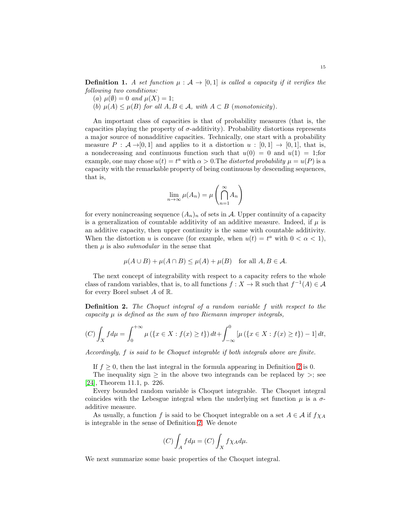**Definition 1.** A set function  $\mu : \mathcal{A} \to [0, 1]$  is called a capacity if it verifies the following two conditions:

- (a)  $\mu(\emptyset) = 0$  and  $\mu(X) = 1$ ;
- (b)  $\mu(A) \leq \mu(B)$  for all  $A, B \in \mathcal{A}$ , with  $A \subset B$  (monotonicity).

An important class of capacities is that of probability measures (that is, the capacities playing the property of  $\sigma$ -additivity). Probability distortions represents a major source of nonadditive capacities. Technically, one start with a probability measure  $P : \mathcal{A} \rightarrow [0, 1]$  and applies to it a distortion  $u : [0, 1] \rightarrow [0, 1]$ , that is, a nondecreasing and continuous function such that  $u(0) = 0$  and  $u(1) = 1$ ; for example, one may chose  $u(t) = t^a$  with  $\alpha > 0$ . The *distorted probability*  $\mu = u(P)$  is a capacity with the remarkable property of being continuous by descending sequences, that is,

$$
\lim_{n \to \infty} \mu(A_n) = \mu\left(\bigcap_{n=1}^{\infty} A_n\right)
$$

for every nonincreasing sequence  $(A_n)_n$  of sets in A. Upper continuity of a capacity is a generalization of countable additivity of an additive measure. Indeed, if  $\mu$  is an additive capacity, then upper continuity is the same with countable additivity. When the distortion u is concave (for example, when  $u(t) = t^a$  with  $0 < \alpha < 1$ ), then  $\mu$  is also *submodular* in the sense that

$$
\mu(A \cup B) + \mu(A \cap B) \le \mu(A) + \mu(B) \quad \text{for all } A, B \in \mathcal{A}.
$$

The next concept of integrability with respect to a capacity refers to the whole class of random variables, that is, to all functions  $f: X \to \mathbb{R}$  such that  $f^{-1}(A) \in \mathcal{A}$ for every Borel subset  $A$  of  $\mathbb{R}$ .

<span id="page-14-0"></span>Definition 2. The Choquet integral of a random variable f with respect to the capacity  $\mu$  is defined as the sum of two Riemann improper integrals,

$$
(C)\int_X f d\mu = \int_0^{+\infty} \mu \left( \{x \in X : f(x) \ge t \} \right) dt + \int_{-\infty}^0 \left[ \mu \left( \{x \in X : f(x) \ge t \} \right) - 1 \right] dt,
$$

Accordingly, f is said to be Choquet integrable if both integrals above are finite.

If  $f \geq 0$ , then the last integral in the formula appearing in Definition [2](#page-14-0) is 0.

The inequality sign  $\geq$  in the above two integrands can be replaced by  $\geq$ ; see [\[24\]](#page-16-16), Theorem 11.1, p. 226.

Every bounded random variable is Choquet integrable. The Choquet integral coincides with the Lebesgue integral when the underlying set function  $\mu$  is a  $\sigma$ additive measure.

As usually, a function f is said to be Choquet integrable on a set  $A \in \mathcal{A}$  if  $f \chi_A$ is integrable in the sense of Definition [2.](#page-14-0) We denote

$$
(C)\int_A f d\mu = (C)\int_X f \chi_A d\mu.
$$

We next summarize some basic properties of the Choquet integral.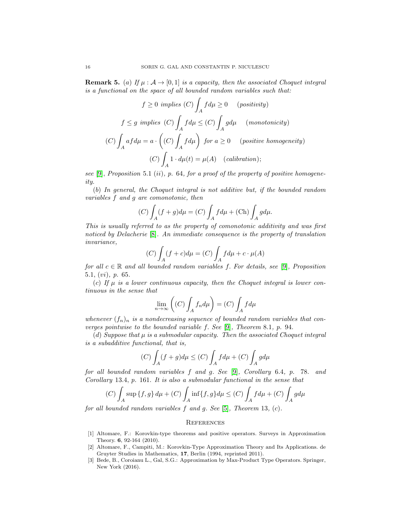<span id="page-15-2"></span>**Remark 5.** (a) If  $\mu : A \rightarrow [0, 1]$  is a capacity, then the associated Choquet integral is a functional on the space of all bounded random variables such that:

$$
f \ge 0 \implies (C) \int_A f d\mu \ge 0 \qquad (positivity)
$$
  

$$
f \le g \implies (C) \int_A f d\mu \le (C) \int_A g d\mu \qquad (monotonicity)
$$
  

$$
(C) \int_A a f d\mu = a \cdot \left( (C) \int_A f d\mu \right) \text{ for } a \ge 0 \qquad (positive \ homogeneity)
$$
  

$$
(C) \int_A 1 \cdot d\mu(t) = \mu(A) \quad (calibration);
$$

see [\[9\]](#page-16-17), Proposition 5.1 (ii), p. 64, for a proof of the property of positive homogeneity.

(b) In general, the Choquet integral is not additive but, if the bounded random variables f and g are comonotonic, then

$$
(C)\int_A (f+g)d\mu = (C)\int_A f d\mu + (\text{Ch})\int_A g d\mu.
$$

This is usually referred to as the property of comonotonic additivity and was first noticed by Delacherie [\[8\]](#page-16-19). An immediate consequence is the property of translation invariance,

$$
(C)\int_A (f+c)d\mu = (C)\int_A fd\mu + c \cdot \mu(A)
$$

for all  $c \in \mathbb{R}$  and all bounded random variables f. For details, see [\[9\]](#page-16-17), Proposition 5.1, (vi), p. 65.

(c) If  $\mu$  is a lower continuous capacity, then the Choquet integral is lower continuous in the sense that

$$
\lim_{n \to \infty} \left( (C) \int_A f_n d\mu \right) = (C) \int_A f d\mu
$$

whenever  $(f_n)_n$  is a nondecreasing sequence of bounded random variables that converges pointwise to the bounded variable f. See [\[9\]](#page-16-17), Theorem 8.1, p. 94.

(d) Suppose that  $\mu$  is a submodular capacity. Then the associated Choquet integral is a subadditive functional, that is,

$$
(C)\int_A (f+g)d\mu \le (C)\int_A f d\mu + (C)\int_A g d\mu
$$

for all bounded random variables f and g. See [\[9\]](#page-16-17), Corollary 6.4, p. 78. and Corollary 13.4, p. 161. It is also a submodular functional in the sense that

$$
(C)\int_A \sup\{f,g\} d\mu + (C)\int_A \inf\{f,g\} d\mu \le (C)\int_A f d\mu + (C)\int_A g d\mu
$$

for all bounded random variables  $f$  and  $g$ . See [\[5\]](#page-16-20), Theorem 13, (c).

#### **REFERENCES**

- <span id="page-15-1"></span>[1] Altomare, F.: Korovkin-type theorems and positive operators. Surveys in Approximation Theory. 6, 92-164 (2010).
- <span id="page-15-0"></span>[2] Altomare, F., Campiti, M.: Korovkin-Type Approximation Theory and Its Applications. de Gruyter Studies in Mathematics, 17, Berlin (1994, reprinted 2011).
- <span id="page-15-3"></span>[3] Bede, B., Coroianu L., Gal, S.G.: Approximation by Max-Product Type Operators. Springer, New York (2016).